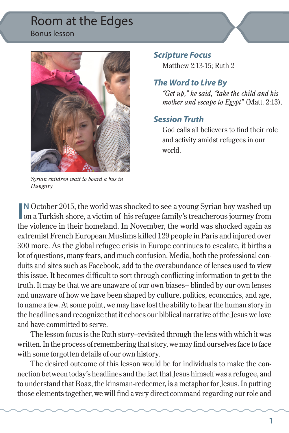### Room at the Edges Bonus lesson



*Syrian children wait to board a bus in Hungary* 

#### *Scripture Focus*

Matthew 2:13-15; Ruth 2

#### *The Word to Live By*

*"Get up," he said, "take the child and his mother and escape to Egypt"* (Matt. 2:13).

#### *Session Truth*

God calls all believers to find their role and activity amidst refugees in our world.

**II**N October 2015, the world was shocked to see a young Syrian boy washed up on a Turkish shore, a victim of his refugee family's treacherous journey from **N** October 2015, the world was shocked to see a young Syrian boy washed up the violence in their homeland. In November, the world was shocked again as extremist French European Muslims killed 129 people in Paris and injured over 300 more. As the global refugee crisis in Europe continues to escalate, it births a lot of questions, many fears, and much confusion. Media, both the professional conduits and sites such as Facebook, add to the overabundance of lenses used to view this issue. It becomes difficult to sort through conflicting information to get to the truth. It may be that we are unaware of our own biases-- blinded by our own lenses and unaware of how we have been shaped by culture, politics, economics, and age, to name a few. At some point, we may have lost the ability to hear the human story in the headlines and recognize that it echoes our biblical narrative of the Jesus we love and have committed to serve.

The lesson focus is the Ruth story--revisited through the lens with which it was written. In the process of remembering that story, we may find ourselves face to face with some forgotten details of our own history.

The desired outcome of this lesson would be for individuals to make the connection between today's headlines and the fact that Jesus himself was a refugee, and to understand that Boaz, the kinsman-redeemer, is a metaphor for Jesus. In putting those elements together, we will find a very direct command regarding our role and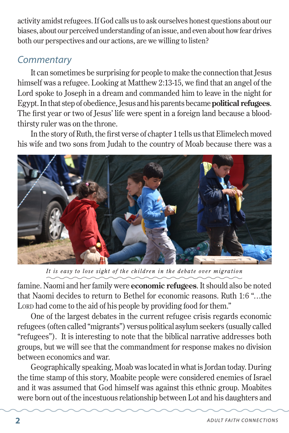activity amidst refugees. If God calls us to ask ourselves honest questions about our biases, about our perceived understanding of an issue, and even about how fear drives both our perspectives and our actions, are we willing to listen?

## *Commentary*

It can sometimes be surprising for people to make the connection that Jesus himself was a refugee. Looking at Matthew 2:13-15, we find that an angel of the Lord spoke to Joseph in a dream and commanded him to leave in the night for Egypt. In that step of obedience, Jesus and his parents became **political refugees**. The first year or two of Jesus' life were spent in a foreign land because a bloodthirsty ruler was on the throne.

In the story of Ruth, the first verse of chapter 1 tells us that Elimelech moved his wife and two sons from Judah to the country of Moab because there was a



*It is easy to lose sight of the children in the debate over migration*

famine. Naomi and her family were **economic refugees**. It should also be noted that Naomi decides to return to Bethel for economic reasons. Ruth 1:6 "…the LORD had come to the aid of his people by providing food for them."

One of the largest debates in the current refugee crisis regards economic refugees (often called "migrants") versus political asylum seekers (usually called "refugees"). It is interesting to note that the biblical narrative addresses both groups, but we will see that the commandment for response makes no division between economics and war.

Geographically speaking, Moab was located in what is Jordan today. During the time stamp of this story, Moabite people were considered enemies of Israel and it was assumed that God himself was against this ethnic group. Moabites were born out of the incestuous relationship between Lot and his daughters and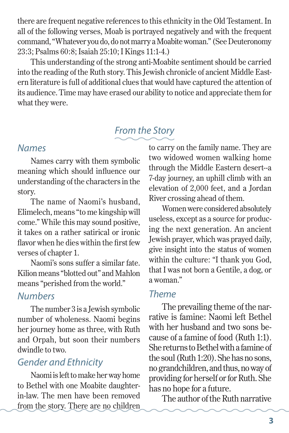there are frequent negative references to this ethnicity in the Old Testament. In all of the following verses, Moab is portrayed negatively and with the frequent command, "Whatever you do, do not marry a Moabite woman." (See Deuteronomy 23:3; Psalms 60:8; Isaiah 25:10; I Kings 11:1-4.)

This understanding of the strong anti-Moabite sentiment should be carried into the reading of the Ruth story. This Jewish chronicle of ancient Middle Eastern literature is full of additional clues that would have captured the attention of its audience. Time may have erased our ability to notice and appreciate them for what they were.

# *From the Story*

#### *Names*

Names carry with them symbolic meaning which should influence our understanding of the characters in the story.

The name of Naomi's husband, Elimelech, means "to me kingship will come." While this may sound positive, it takes on a rather satirical or ironic flavor when he dies within the first few verses of chapter 1.

Naomi's sons suffer a similar fate. Kilion means "blotted out" and Mahlon means "perished from the world."

## *Numbers*

The number 3 is a Jewish symbolic number of wholeness. Naomi begins her journey home as three, with Ruth and Orpah, but soon their numbers dwindle to two.

# *Gender and Ethnicity*

Naomi is left to make her way home to Bethel with one Moabite daughterin-law. The men have been removed from the story. There are no children to carry on the family name. They are two widowed women walking home through the Middle Eastern desert--a 7-day journey, an uphill climb with an elevation of 2,000 feet, and a Jordan River crossing ahead of them.

Women were considered absolutely useless, except as a source for producing the next generation. An ancient Jewish prayer, which was prayed daily, give insight into the status of women within the culture: "I thank you God, that I was not born a Gentile, a dog, or a woman."

### *Theme*

The prevailing theme of the narrative is famine: Naomi left Bethel with her husband and two sons because of a famine of food (Ruth 1:1). She returns to Bethel with a famine of the soul (Ruth 1:20). She has no sons, no grandchildren, and thus, no way of providing for herself or for Ruth. She has no hope for a future.

The author of the Ruth narrative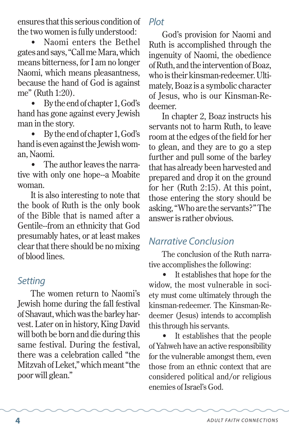ensures that this serious condition of the two women is fully understood:

• Naomi enters the Bethel gates and says, "Call me Mara, which means bitterness, for I am no longer Naomi, which means pleasantness, because the hand of God is against me" (Ruth 1:20).

• By the end of chapter 1, God's hand has gone against every Jewish man in the story.

• By the end of chapter 1, God's hand is even against the Jewish woman, Naomi.

The author leaves the narrative with only one hope--a Moabite woman.

It is also interesting to note that the book of Ruth is the only book of the Bible that is named after a Gentile--from an ethnicity that God presumably hates, or at least makes clear that there should be no mixing of blood lines.

# *Setting*

The women return to Naomi's Jewish home during the fall festival of Shavaut, which was the barley harvest. Later on in history, King David will both be born and die during this same festival. During the festival, there was a celebration called "the Mitzvah of Leket," which meant "the poor will glean."

# *Plot*

God's provision for Naomi and Ruth is accomplished through the ingenuity of Naomi, the obedience of Ruth, and the intervention of Boaz, who is their kinsman-redeemer. Ultimately, Boaz is a symbolic character of Jesus, who is our Kinsman-Redeemer.

In chapter 2, Boaz instructs his servants not to harm Ruth, to leave room at the edges of the field for her to glean, and they are to go a step further and pull some of the barley that has already been harvested and prepared and drop it on the ground for her (Ruth 2:15). At this point, those entering the story should be asking, "Who are the servants?" The answer is rather obvious.

# *Narrative Conclusion*

The conclusion of the Ruth narrative accomplishes the following:

It establishes that hope for the widow, the most vulnerable in society must come ultimately through the kinsman-redeemer. The Kinsman-Redeemer (Jesus) intends to accomplish this through his servants.

It establishes that the people of Yahweh have an active responsibility for the vulnerable amongst them, even those from an ethnic context that are considered political and/or religious enemies of Israel's God.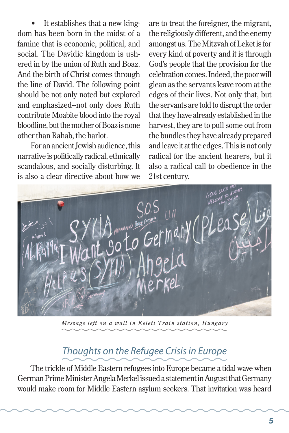It establishes that a new kingdom has been born in the midst of a famine that is economic, political, and social. The Davidic kingdom is ushered in by the union of Ruth and Boaz. And the birth of Christ comes through the line of David. The following point should be not only noted but explored and emphasized--not only does Ruth contribute Moabite blood into the royal bloodline, but the mother of Boaz is none other than Rahab, the harlot.

For an ancient Jewish audience, this narrative is politically radical, ethnically scandalous, and socially disturbing. It is also a clear directive about how we

are to treat the foreigner, the migrant, the religiously different, and the enemy amongst us. The Mitzvah of Leket is for every kind of poverty and it is through God's people that the provision for the celebration comes. Indeed, the poor will glean as the servants leave room at the edges of their lives. Not only that, but the servants are told to disrupt the order that they have already established in the harvest, they are to pull some out from the bundles they have already prepared and leave it at the edges. This is not only radical for the ancient hearers, but it also a radical call to obedience in the 21st century.



*Message left on a wall in Keleti Train station, Hungary*

## *Thoughts on the Refugee Crisis in Europe*

The trickle of Middle Eastern refugees into Europe became a tidal wave when German Prime Minister Angela Merkel issued a statement in August that Germany would make room for Middle Eastern asylum seekers. That invitation was heard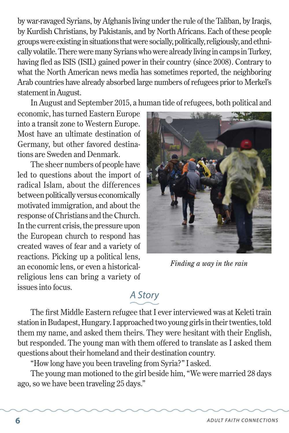by war-ravaged Syrians, by Afghanis living under the rule of the Taliban, by Iraqis, by Kurdish Christians, by Pakistanis, and by North Africans. Each of these people groups were existing in situations that were socially, politically, religiously, and ethnically volatile. There were many Syrians who were already living in camps in Turkey, having fled as ISIS (ISIL) gained power in their country (since 2008). Contrary to what the North American news media has sometimes reported, the neighboring Arab countries have already absorbed large numbers of refugees prior to Merkel's statement in August.

In August and September 2015, a human tide of refugees, both political and

economic, has turned Eastern Europe into a transit zone to Western Europe. Most have an ultimate destination of Germany, but other favored destinations are Sweden and Denmark.

The sheer numbers of people have led to questions about the import of radical Islam, about the differences between politically versus economically motivated immigration, and about the response of Christians and the Church. In the current crisis, the pressure upon the European church to respond has created waves of fear and a variety of reactions. Picking up a political lens, an economic lens, or even a historicalreligious lens can bring a variety of issues into focus.



*Finding a way in the rain*

# *A Story*

The first Middle Eastern refugee that I ever interviewed was at Keleti train station in Budapest, Hungary. I approached two young girls in their twenties, told them my name, and asked them theirs. They were hesitant with their English, but responded. The young man with them offered to translate as I asked them questions about their homeland and their destination country.

"How long have you been traveling from Syria?" I asked.

The young man motioned to the girl beside him, "We were married 28 days ago, so we have been traveling 25 days."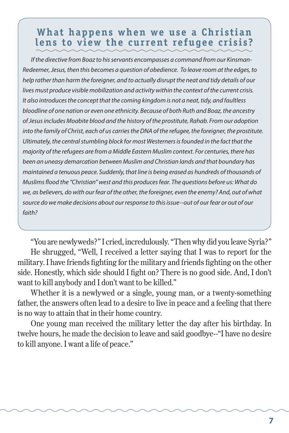# **What happens when we use a Christian lens to view the current refugee crisis?**

 *If the directive from Boaz to his servants encompasses a command from our Kinsman-Redeemer, Jesus, then this becomes a question of obedience. To leave room at the edges, to help rather than harm the foreigner, and to actually disrupt the neat and tidy details of our lives must produce visible mobilization and activity within the context of the current crisis. It also introduces the concept that the coming kingdom is not a neat, tidy, and faultless bloodline of one nation or even one ethnicity. Because of both Ruth and Boaz, the ancestry of Jesus includes Moabite blood and the history of the prostitute, Rahab. From our adoption into the family of Christ, each of us carries the DNA of the refugee, the foreigner, the prostitute. Ultimately, the central stumbling block for most Westerners is founded in the fact that the majority of the refugees are from a Middle Eastern Muslim context. For centuries, there has been an uneasy demarcation between Muslim and Christian lands and that boundary has maintained a tenuous peace. Suddenly, that line is being erased as hundreds of thousands of Muslims flood the "Christian" west and this produces fear. The questions before us: What do we, as believers, do with our fear of the other, the foreigner, even the enemy? And, out of what source do we make decisions about our response to this issue--out of our fear or out of our faith?*

"You are newlyweds?" I cried, incredulously. "Then why did you leave Syria?" He shrugged, "Well, I received a letter saying that I was to report for the military. I have friends fighting for the military and friends fighting on the other side. Honestly, which side should I fight on? There is no good side. And, I don't want to kill anybody and I don't want to be killed."

Whether it is a newlywed or a single, young man, or a twenty-something father, the answers often lead to a desire to live in peace and a feeling that there is no way to attain that in their home country.

One young man received the military letter the day after his birthday. In twelve hours, he made the decision to leave and said goodbye--"I have no desire to kill anyone. I want a life of peace."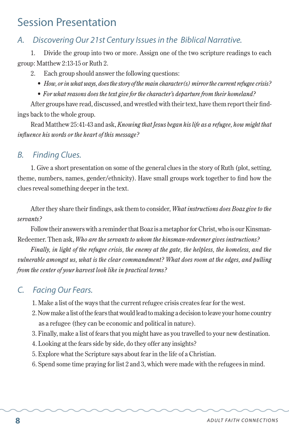# Session Presentation

#### *A. Discovering Our 21st Century Issues in the Biblical Narrative.*

1. Divide the group into two or more. Assign one of the two scripture readings to each group: Matthew 2:13-15 or Ruth 2.

- 2. Each group should answer the following questions:
	- *• How, or in what ways, does the story of the main character(s) mirror the current refugee crisis?*
	- *• For what reasons does the text give for the character's departure from their homeland?*

After groups have read, discussed, and wrestled with their text, have them report their findings back to the whole group.

Read Matthew 25:41-43 and ask, *Knowing that Jesus began his life as a refugee, how might that influence his words or the heart of this message?*

#### *B. Finding Clues.*

1. Give a short presentation on some of the general clues in the story of Ruth (plot, setting, theme, numbers, names, gender/ethnicity). Have small groups work together to find how the clues reveal something deeper in the text.

After they share their findings, ask them to consider, *What instructions does Boaz give to the servants?*

Follow their answers with a reminder that Boaz is a metaphor for Christ, who is our Kinsman-Redeemer. Then ask, *Who are the servants to whom the kinsman-redeemer gives instructions?*

*Finally, in light of the refugee crisis, the enemy at the gate, the helpless, the homeless, and the vulnerable amongst us, what is the clear commandment? What does room at the edges, and pulling from the center of your harvest look like in practical terms?*

#### *C. Facing Our Fears.*

- 1. Make a list of the ways that the current refugee crisis creates fear for the west.
- 2. Now make a list of the fears that would lead to making a decision to leave your home country as a refugee (they can be economic and political in nature).
- 3. Finally, make a list of fears that you might have as you travelled to your new destination.
- 4. Looking at the fears side by side, do they offer any insights?
- 5. Explore what the Scripture says about fear in the life of a Christian.
- 6. Spend some time praying for list 2 and 3, which were made with the refugees in mind.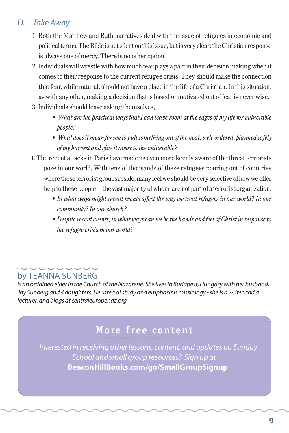#### *D. Take Away.*

- 1. Both the Matthew and Ruth narratives deal with the issue of refugees in economic and political terms. The Bible is not silent on this issue, but is very clear: the Christian response is always one of mercy. There is no other option.
- 2. Individuals will wrestle with how much fear plays a part in their decision making when it comes to their response to the current refugee crisis. They should make the connection that fear, while natural, should not have a place in the life of a Christian. In this situation, as with any other, making a decision that is based or motivated out of fear is never wise.
- 3. Individuals should leave asking themselves,
	- *What are the practical ways that I can leave room at the edges of my life for vulnerable people?*
	- *What does it mean for me to pull something out of the neat, well-ordered, planned safety of my harvest and give it away to the vulnerable?*
- 4. The recent attacks in Paris have made us even more keenly aware of the threat terrorists pose in our world. With tens of thousands of these refugees pouring out of countries where these terrorist groups reside, many feel we should be very selective of how we offer help to these people—the vast majority of whom are not part of a terrorist organization.
	- In what ways might recent events affect the way we treat refugees in our world? In our *community? In our church?*
	- *• Despite recent events, in what ways can we be the hands and feet of Christ in response to the refugee crisis in our world?*

### by TEANNA SUNBERG

*is an ordained elder in the Church of the Nazarene. She lives in Budapest, Hungary with her husband, Jay Sunberg and 4 daughters. Her area of study and emphasis is missiology - she is a writer and a lecturer, and blogs at centraleuropenaz.org*

# **More free content**

 *Interested in receiving other lessons, content, and updates on Sunday School and small group resources? Sign up at*  **BeaconHillBooks.com/go/SmallGroupSignup**